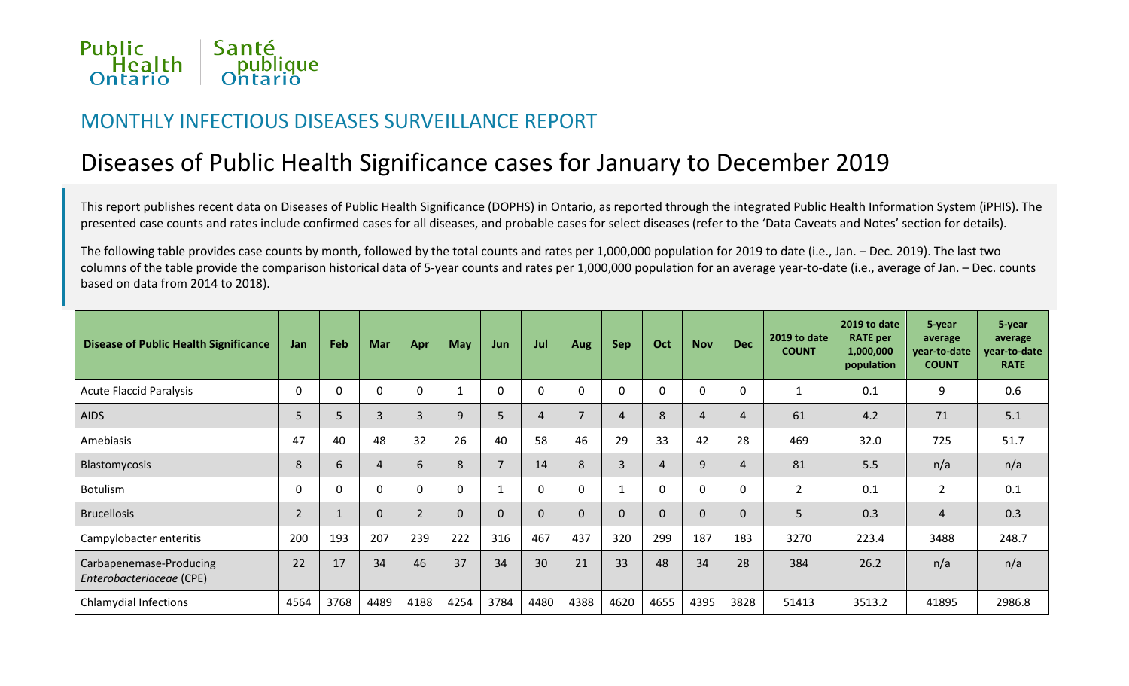

### MONTHLY INFECTIOUS DISEASES SURVEILLANCE REPORT

# Diseases of Public Health Significance cases for January to December 2019

This report publishes recent data on Diseases of Public Health Significance (DOPHS) in Ontario, as reported through the integrated Public Health Information System (iPHIS). The presented case counts and rates include confirmed cases for all diseases, and probable cases for select diseases (refer to the 'Data Caveats and Notes' section for details).

The following table provides case counts by month, followed by the total counts and rates per 1,000,000 population for 2019 to date (i.e., Jan. – Dec. 2019). The last two columns of the table provide the comparison historical data of 5-year counts and rates per 1,000,000 population for an average year-to-date (i.e., average of Jan. – Dec. counts based on data from 2014 to 2018).

| <b>Disease of Public Health Significance</b>        | Jan            | Feb         | <b>Mar</b>     | Apr            | <b>May</b> | Jun      | Jul      | <b>Aug</b> | <b>Sep</b> | Oct  | <b>Nov</b>     | <b>Dec</b>     | 2019 to date<br><b>COUNT</b> | 2019 to date<br><b>RATE</b> per<br>1,000,000<br>population | 5-year<br>average<br>year-to-date<br><b>COUNT</b> | 5-year<br>average<br>year-to-date<br><b>RATE</b> |
|-----------------------------------------------------|----------------|-------------|----------------|----------------|------------|----------|----------|------------|------------|------|----------------|----------------|------------------------------|------------------------------------------------------------|---------------------------------------------------|--------------------------------------------------|
| <b>Acute Flaccid Paralysis</b>                      | $\Omega$       | $\Omega$    | $\Omega$       | $\Omega$       |            | $\Omega$ | $\Omega$ |            | $\Omega$   | 0    | $\mathbf 0$    | $\mathbf{0}$   |                              | 0.1                                                        | 9                                                 | 0.6                                              |
| <b>AIDS</b>                                         | 5              | 5           | 3              | 3              | 9          | 5        | 4        |            | 4          | 8    | $\overline{4}$ | $\overline{4}$ | 61                           | 4.2                                                        | 71                                                | 5.1                                              |
| Amebiasis                                           | 47             | 40          | 48             | 32             | 26         | 40       | 58       | 46         | 29         | 33   | 42             | 28             | 469                          | 32.0                                                       | 725                                               | 51.7                                             |
| <b>Blastomycosis</b>                                | 8              | 6           | $\overline{4}$ | 6              | 8          |          | 14       | 8          | 3          | 4    | 9              | $\overline{4}$ | 81                           | 5.5                                                        | n/a                                               | n/a                                              |
| <b>Botulism</b>                                     | 0              | $\mathbf 0$ | $\Omega$       | 0              | $\Omega$   |          | 0        |            |            | 0    | $\mathbf 0$    | $\mathbf 0$    | $\overline{2}$               | 0.1                                                        | $\overline{2}$                                    | 0.1                                              |
| <b>Brucellosis</b>                                  | $\overline{2}$ |             | $\Omega$       | $\overline{2}$ | $\Omega$   | $\Omega$ | 0        |            | 0          | 0    | $\mathbf{0}$   | $\Omega$       | 5                            | 0.3                                                        | $\overline{4}$                                    | 0.3                                              |
| Campylobacter enteritis                             | 200            | 193         | 207            | 239            | 222        | 316      | 467      | 437        | 320        | 299  | 187            | 183            | 3270                         | 223.4                                                      | 3488                                              | 248.7                                            |
| Carbapenemase-Producing<br>Enterobacteriaceae (CPE) | 22             | 17          | 34             | 46             | 37         | 34       | 30       | 21         | 33         | 48   | 34             | 28             | 384                          | 26.2                                                       | n/a                                               | n/a                                              |
| <b>Chlamydial Infections</b>                        | 4564           | 3768        | 4489           | 4188           | 4254       | 3784     | 4480     | 4388       | 4620       | 4655 | 4395           | 3828           | 51413                        | 3513.2                                                     | 41895                                             | 2986.8                                           |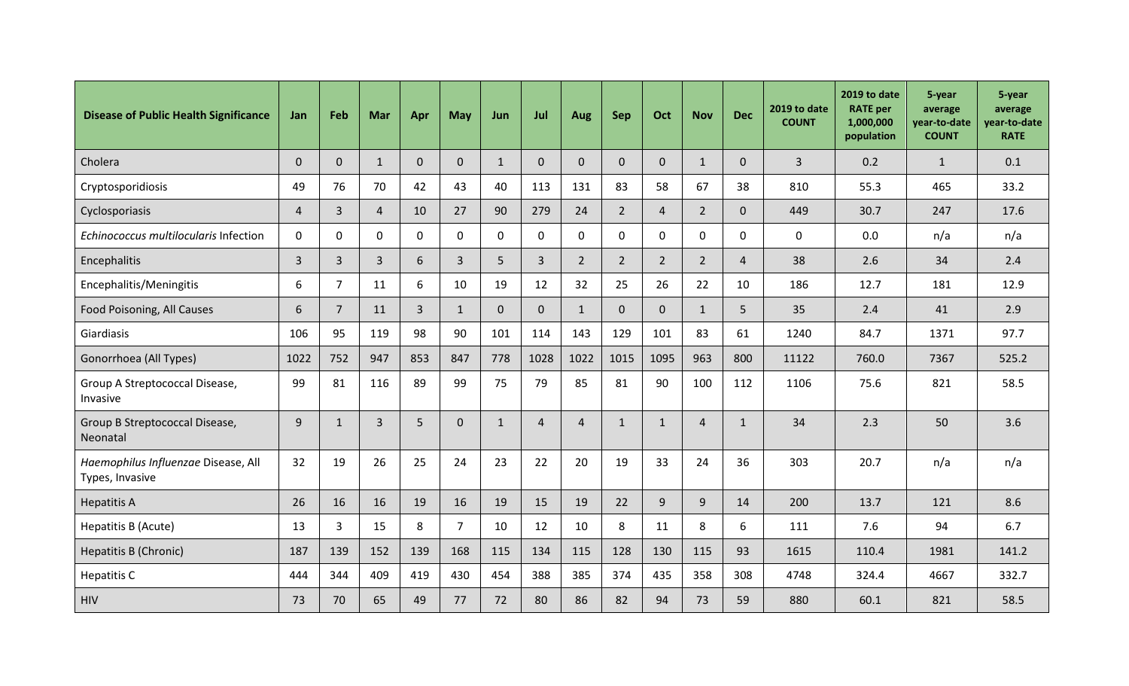| <b>Disease of Public Health Significance</b>           | <b>Jan</b>     | Feb            | Mar            | Apr            | May            | Jun          | Jul            | Aug          | Sep            | Oct            | <b>Nov</b>     | <b>Dec</b>     | 2019 to date<br><b>COUNT</b> | 2019 to date<br><b>RATE</b> per<br>1,000,000<br>population | 5-year<br>average<br>year-to-date<br><b>COUNT</b> | 5-year<br>average<br>year-to-date<br><b>RATE</b> |
|--------------------------------------------------------|----------------|----------------|----------------|----------------|----------------|--------------|----------------|--------------|----------------|----------------|----------------|----------------|------------------------------|------------------------------------------------------------|---------------------------------------------------|--------------------------------------------------|
| Cholera                                                | $\Omega$       | $\overline{0}$ | $\mathbf{1}$   | $\mathbf{0}$   | $\mathbf 0$    | $\mathbf{1}$ | $\Omega$       | $\Omega$     | $\Omega$       | $\Omega$       | $\mathbf{1}$   | $\overline{0}$ | $\overline{3}$               | 0.2                                                        | $\mathbf{1}$                                      | 0.1                                              |
| Cryptosporidiosis                                      | 49             | 76             | 70             | 42             | 43             | 40           | 113            | 131          | 83             | 58             | 67             | 38             | 810                          | 55.3                                                       | 465                                               | 33.2                                             |
| Cyclosporiasis                                         | $\overline{4}$ | 3              | $\overline{4}$ | 10             | 27             | 90           | 279            | 24           | $2^{\circ}$    | $\overline{4}$ | $2^{\circ}$    | $\overline{0}$ | 449                          | 30.7                                                       | 247                                               | 17.6                                             |
| Echinococcus multilocularis Infection                  | $\mathbf 0$    | $\overline{0}$ | $\mathbf{0}$   | $\mathbf 0$    | $\mathbf 0$    | $\mathbf 0$  | $\mathbf{0}$   | 0            | $\mathbf 0$    | $\mathbf 0$    | 0              | $\mathbf{0}$   | $\mathbf 0$                  | 0.0                                                        | n/a                                               | n/a                                              |
| Encephalitis                                           | $\overline{3}$ | 3              | 3              | 6              | $\overline{3}$ | 5            | $\overline{3}$ | $2^{\circ}$  | $2^{\circ}$    | $2^{\circ}$    | $2^{\circ}$    | $\overline{4}$ | 38                           | 2.6                                                        | 34                                                | 2.4                                              |
| Encephalitis/Meningitis                                | 6              | $\overline{7}$ | 11             | 6              | 10             | 19           | 12             | 32           | 25             | 26             | 22             | 10             | 186                          | 12.7                                                       | 181                                               | 12.9                                             |
| Food Poisoning, All Causes                             | 6              | $\overline{7}$ | 11             | $\overline{3}$ | $\mathbf{1}$   | $\mathbf{0}$ | $\overline{0}$ | $\mathbf{1}$ | $\overline{0}$ | $\overline{0}$ | $\mathbf{1}$   | 5              | 35                           | 2.4                                                        | 41                                                | 2.9                                              |
| Giardiasis                                             | 106            | 95             | 119            | 98             | 90             | 101          | 114            | 143          | 129            | 101            | 83             | 61             | 1240                         | 84.7                                                       | 1371                                              | 97.7                                             |
| Gonorrhoea (All Types)                                 | 1022           | 752            | 947            | 853            | 847            | 778          | 1028           | 1022         | 1015           | 1095           | 963            | 800            | 11122                        | 760.0                                                      | 7367                                              | 525.2                                            |
| Group A Streptococcal Disease,<br>Invasive             | 99             | 81             | 116            | 89             | 99             | 75           | 79             | 85           | 81             | 90             | 100            | 112            | 1106                         | 75.6                                                       | 821                                               | 58.5                                             |
| Group B Streptococcal Disease,<br>Neonatal             | $\overline{9}$ | $\mathbf{1}$   | $\overline{3}$ | 5              | $\mathbf{0}$   | $\mathbf{1}$ | $\overline{4}$ | 4            | $\mathbf{1}$   | $\mathbf{1}$   | $\overline{4}$ | $\mathbf{1}$   | 34                           | 2.3                                                        | 50                                                | 3.6                                              |
| Haemophilus Influenzae Disease, All<br>Types, Invasive | 32             | 19             | 26             | 25             | 24             | 23           | 22             | 20           | 19             | 33             | 24             | 36             | 303                          | 20.7                                                       | n/a                                               | n/a                                              |
| <b>Hepatitis A</b>                                     | 26             | 16             | 16             | 19             | 16             | 19           | 15             | 19           | 22             | 9 <sup>°</sup> | $\overline{9}$ | 14             | 200                          | 13.7                                                       | 121                                               | 8.6                                              |
| Hepatitis B (Acute)                                    | 13             | 3              | 15             | 8              | $\overline{7}$ | 10           | 12             | 10           | 8              | 11             | 8              | 6              | 111                          | 7.6                                                        | 94                                                | 6.7                                              |
| <b>Hepatitis B (Chronic)</b>                           | 187            | 139            | 152            | 139            | 168            | 115          | 134            | 115          | 128            | 130            | 115            | 93             | 1615                         | 110.4                                                      | 1981                                              | 141.2                                            |
| Hepatitis C                                            | 444            | 344            | 409            | 419            | 430            | 454          | 388            | 385          | 374            | 435            | 358            | 308            | 4748                         | 324.4                                                      | 4667                                              | 332.7                                            |
| <b>HIV</b>                                             | 73             | 70             | 65             | 49             | 77             | 72           | 80             | 86           | 82             | 94             | 73             | 59             | 880                          | 60.1                                                       | 821                                               | 58.5                                             |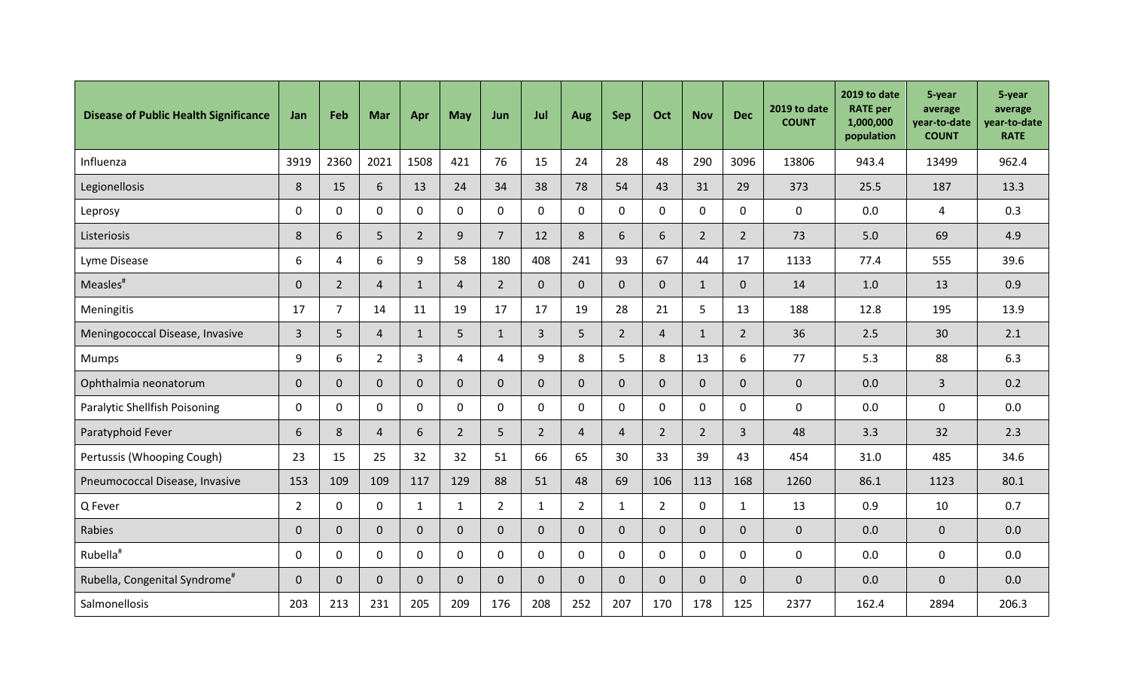| <b>Disease of Public Health Significance</b> | Jan            | Feb            | Mar            | Apr            | May            | Jun            | Jul            | <b>Aug</b>     | Sep            | Oct            | <b>Nov</b>     | <b>Dec</b>     | 2019 to date<br><b>COUNT</b> | 2019 to date<br><b>RATE</b> per<br>1,000,000<br>population | 5-year<br>average<br>year-to-date<br><b>COUNT</b> | 5-year<br>average<br>year-to-date<br><b>RATE</b> |
|----------------------------------------------|----------------|----------------|----------------|----------------|----------------|----------------|----------------|----------------|----------------|----------------|----------------|----------------|------------------------------|------------------------------------------------------------|---------------------------------------------------|--------------------------------------------------|
| Influenza                                    | 3919           | 2360           | 2021           | 1508           | 421            | 76             | 15             | 24             | 28             | 48             | 290            | 3096           | 13806                        | 943.4                                                      | 13499                                             | 962.4                                            |
| Legionellosis                                | 8              | 15             | 6              | 13             | 24             | 34             | 38             | 78             | 54             | 43             | 31             | 29             | 373                          | 25.5                                                       | 187                                               | 13.3                                             |
| Leprosy                                      | $\mathbf 0$    | $\mathbf 0$    | $\mathbf 0$    | $\mathbf 0$    | $\mathbf 0$    | $\mathbf 0$    | $\mathbf 0$    | 0              | $\overline{0}$ | $\mathbf 0$    | $\mathbf{0}$   | $\mathbf 0$    | $\mathbf 0$                  | 0.0                                                        | $\overline{4}$                                    | 0.3                                              |
| Listeriosis                                  | 8              | 6              | 5              | $\overline{2}$ | 9              | $\overline{7}$ | 12             | 8              | 6              | 6              | $2^{\circ}$    | $2^{\circ}$    | 73                           | 5.0                                                        | 69                                                | 4.9                                              |
| Lyme Disease                                 | 6              | $\overline{4}$ | 6              | 9              | 58             | 180            | 408            | 241            | 93             | 67             | 44             | 17             | 1133                         | 77.4                                                       | 555                                               | 39.6                                             |
| Measles <sup>#</sup>                         | $\mathbf{0}$   | $\overline{2}$ | $\overline{4}$ | $\mathbf{1}$   | $\overline{4}$ | $\overline{2}$ | $\Omega$       | $\overline{0}$ | $\overline{0}$ | $\overline{0}$ | $\mathbf{1}$   | $\overline{0}$ | 14                           | 1.0                                                        | 13                                                | 0.9                                              |
| Meningitis                                   | 17             | $\overline{7}$ | 14             | 11             | 19             | 17             | 17             | 19             | 28             | 21             | 5              | 13             | 188                          | 12.8                                                       | 195                                               | 13.9                                             |
| Meningococcal Disease, Invasive              | $\overline{3}$ | 5              | $\overline{4}$ | $\mathbf{1}$   | 5              | $\mathbf{1}$   | $\overline{3}$ | 5              | $2^{\circ}$    | $\overline{4}$ | $\mathbf{1}$   | $2^{\circ}$    | 36                           | 2.5                                                        | 30                                                | 2.1                                              |
| <b>Mumps</b>                                 | 9              | 6              | $2^{\circ}$    | $\overline{3}$ | $\overline{4}$ | $\overline{4}$ | 9              | 8              | 5              | 8              | 13             | 6              | 77                           | 5.3                                                        | 88                                                | 6.3                                              |
| Ophthalmia neonatorum                        | $\overline{0}$ | $\mathbf 0$    | $\overline{0}$ | $\overline{0}$ | $\mathbf{0}$   | $\mathbf 0$    | $\Omega$       | $\Omega$       | $\Omega$       | $\overline{0}$ | $\overline{0}$ | $\overline{0}$ | $\overline{0}$               | 0.0                                                        | $\mathbf{3}$                                      | 0.2                                              |
| Paralytic Shellfish Poisoning                | $\mathbf 0$    | $\mathbf 0$    | $\mathbf 0$    | $\mathbf 0$    | $\mathbf 0$    | $\mathbf{0}$   | $\mathbf 0$    | $\mathbf 0$    | $\Omega$       | $\mathbf 0$    | $\mathbf{0}$   | $\Omega$       | $\mathbf{0}$                 | 0.0                                                        | $\mathbf 0$                                       | 0.0                                              |
| Paratyphoid Fever                            | 6              | 8              | $\overline{4}$ | 6              | $\overline{2}$ | 5              | $\overline{2}$ | 4              | $\overline{4}$ | $\overline{2}$ | $2^{\circ}$    | $\mathbf{3}$   | 48                           | 3.3                                                        | 32                                                | 2.3                                              |
| Pertussis (Whooping Cough)                   | 23             | 15             | 25             | 32             | 32             | 51             | 66             | 65             | 30             | 33             | 39             | 43             | 454                          | 31.0                                                       | 485                                               | 34.6                                             |
| Pneumococcal Disease, Invasive               | 153            | 109            | 109            | 117            | 129            | 88             | 51             | 48             | 69             | 106            | 113            | 168            | 1260                         | 86.1                                                       | 1123                                              | 80.1                                             |
| Q Fever                                      | $\overline{2}$ | $\mathbf 0$    | $\mathbf 0$    | $\mathbf{1}$   | 1              | $\overline{2}$ | $\mathbf{1}$   | $2^{\circ}$    | $\mathbf{1}$   | $\overline{2}$ | $\mathbf{0}$   | $\mathbf{1}$   | 13                           | 0.9                                                        | 10                                                | 0.7                                              |
| Rabies                                       | $\mathbf{0}$   | $\mathbf{0}$   | $\overline{0}$ | $\mathbf{0}$   | $\mathbf{0}$   | $\mathbf{0}$   | $\Omega$       | $\overline{0}$ | $\Omega$       | 0              | $\overline{0}$ | $\overline{0}$ | $\overline{0}$               | 0.0                                                        | $\mathbf 0$                                       | 0.0                                              |
| Rubella <sup>#</sup>                         | $\mathbf 0$    | $\mathbf 0$    | $\mathbf 0$    | $\mathbf 0$    | $\mathbf 0$    | $\mathbf 0$    | $\mathbf 0$    | 0              | $\overline{0}$ | $\mathbf 0$    | $\mathbf 0$    | $\mathbf 0$    | $\mathbf 0$                  | 0.0                                                        | $\mathbf 0$                                       | 0.0                                              |
| Rubella, Congenital Syndrome <sup>#</sup>    | $\overline{0}$ | $\mathbf{0}$   | $\overline{0}$ | $\overline{0}$ | $\mathbf 0$    | $\mathbf 0$    | $\mathbf 0$    | $\mathbf{0}$   | $\overline{0}$ | 0              | $\overline{0}$ | $\overline{0}$ | $\overline{0}$               | 0.0                                                        | $\mathbf 0$                                       | 0.0                                              |
| Salmonellosis                                | 203            | 213            | 231            | 205            | 209            | 176            | 208            | 252            | 207            | 170            | 178            | 125            | 2377                         | 162.4                                                      | 2894                                              | 206.3                                            |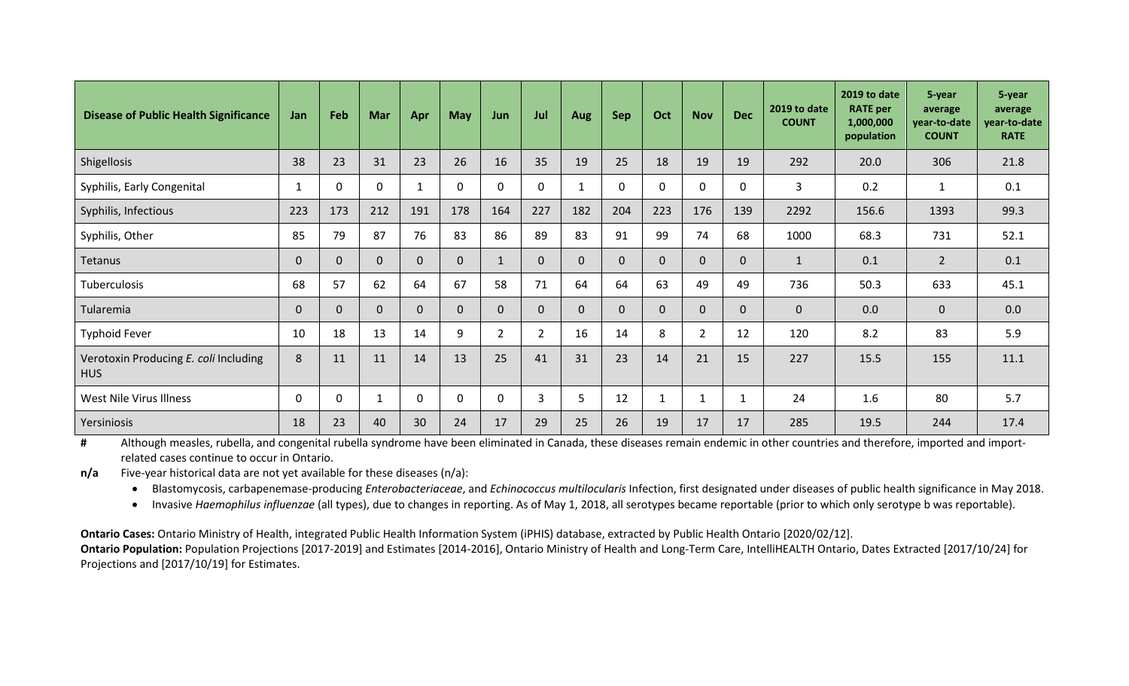| <b>Disease of Public Health Significance</b>        | <b>Jan</b>   | Feb          | <b>Mar</b>   | Apr          | <b>May</b>   | Jun            | Jul          | Aug      | <b>Sep</b> | Oct      | <b>Nov</b>     | <b>Dec</b>   | 2019 to date<br><b>COUNT</b> | 2019 to date<br><b>RATE</b> per<br>1,000,000<br>population | 5-year<br>average<br>vear-to-date<br><b>COUNT</b> | 5-year<br>average<br>year-to-date<br><b>RATE</b> |
|-----------------------------------------------------|--------------|--------------|--------------|--------------|--------------|----------------|--------------|----------|------------|----------|----------------|--------------|------------------------------|------------------------------------------------------------|---------------------------------------------------|--------------------------------------------------|
| Shigellosis                                         | 38           | 23           | 31           | 23           | 26           | 16             | 35           | 19       | 25         | 18       | 19             | 19           | 292                          | 20.0                                                       | 306                                               | 21.8                                             |
| Syphilis, Early Congenital                          | $\mathbf{1}$ | $\Omega$     | $\Omega$     | $\mathbf{1}$ | $\mathbf{0}$ | $\Omega$       | $\mathbf{0}$ |          | $\Omega$   | 0        | $\mathbf{0}$   | $\mathbf{0}$ | $\overline{3}$               | 0.2                                                        | $\mathbf{1}$                                      | 0.1                                              |
| Syphilis, Infectious                                | 223          | 173          | 212          | 191          | 178          | 164            | 227          | 182      | 204        | 223      | 176            | 139          | 2292                         | 156.6                                                      | 1393                                              | 99.3                                             |
| Syphilis, Other                                     | 85           | 79           | 87           | 76           | 83           | 86             | 89           | 83       | 91         | 99       | 74             | 68           | 1000                         | 68.3                                                       | 731                                               | 52.1                                             |
| Tetanus                                             | $\mathbf{0}$ | $\mathbf{0}$ | $\mathbf{0}$ | $\mathbf{0}$ | $\Omega$     | $\mathbf{1}$   | $\Omega$     | $\Omega$ | $\Omega$   | 0        | $\mathbf{0}$   | $\mathbf 0$  | $\mathbf{1}$                 | 0.1                                                        | $2^{\circ}$                                       | 0.1                                              |
| Tuberculosis                                        | 68           | 57           | 62           | 64           | 67           | 58             | 71           | 64       | 64         | 63       | 49             | 49           | 736                          | 50.3                                                       | 633                                               | 45.1                                             |
| Tularemia                                           | $\mathbf{0}$ | $\mathbf{0}$ | $\Omega$     | $\Omega$     | $\Omega$     | $\Omega$       | $\Omega$     | $\Omega$ | 0          | $\Omega$ | $\mathbf{0}$   | $\Omega$     | $\mathbf{0}$                 | 0.0                                                        | $\mathbf{0}$                                      | 0.0                                              |
| <b>Typhoid Fever</b>                                | 10           | 18           | 13           | 14           | 9            | $\overline{2}$ | 2            | 16       | 14         | 8        | $\overline{2}$ | 12           | 120                          | 8.2                                                        | 83                                                | 5.9                                              |
| Verotoxin Producing E. coli Including<br><b>HUS</b> | 8            | 11           | 11           | 14           | 13           | 25             | 41           | 31       | 23         | 14       | 21             | 15           | 227                          | 15.5                                                       | 155                                               | 11.1                                             |
| West Nile Virus Illness                             | 0            | $\mathbf 0$  | 1            | $\Omega$     | $\mathbf{0}$ | $\Omega$       | 3            | 5        | 12         |          |                | $\mathbf{1}$ | 24                           | 1.6                                                        | 80                                                | 5.7                                              |
| Yersiniosis                                         | 18           | 23           | 40           | 30           | 24           | 17             | 29           | 25       | 26         | 19       | 17             | 17           | 285                          | 19.5                                                       | 244                                               | 17.4                                             |

**#** Although measles, rubella, and congenital rubella syndrome have been eliminated in Canada, these diseases remain endemic in other countries and therefore, imported and importrelated cases continue to occur in Ontario.

**n/a** Five-year historical data are not yet available for these diseases (n/a):

• Blastomycosis, carbapenemase-producing *Enterobacteriaceae*, and *Echinococcus multilocularis* Infection, first designated under diseases of public health significance in May 2018.

• Invasive *Haemophilus influenzae* (all types), due to changes in reporting. As of May 1, 2018, all serotypes became reportable (prior to which only serotype b was reportable).

**Ontario Cases:** Ontario Ministry of Health, integrated Public Health Information System (iPHIS) database, extracted by Public Health Ontario [2020/02/12]. Ontario Population: Population Projections [2017-2019] and Estimates [2014-2016], Ontario Ministry of Health and Long-Term Care, IntelliHEALTH Ontario, Dates Extracted [2017/10/24] for Projections and [2017/10/19] for Estimates.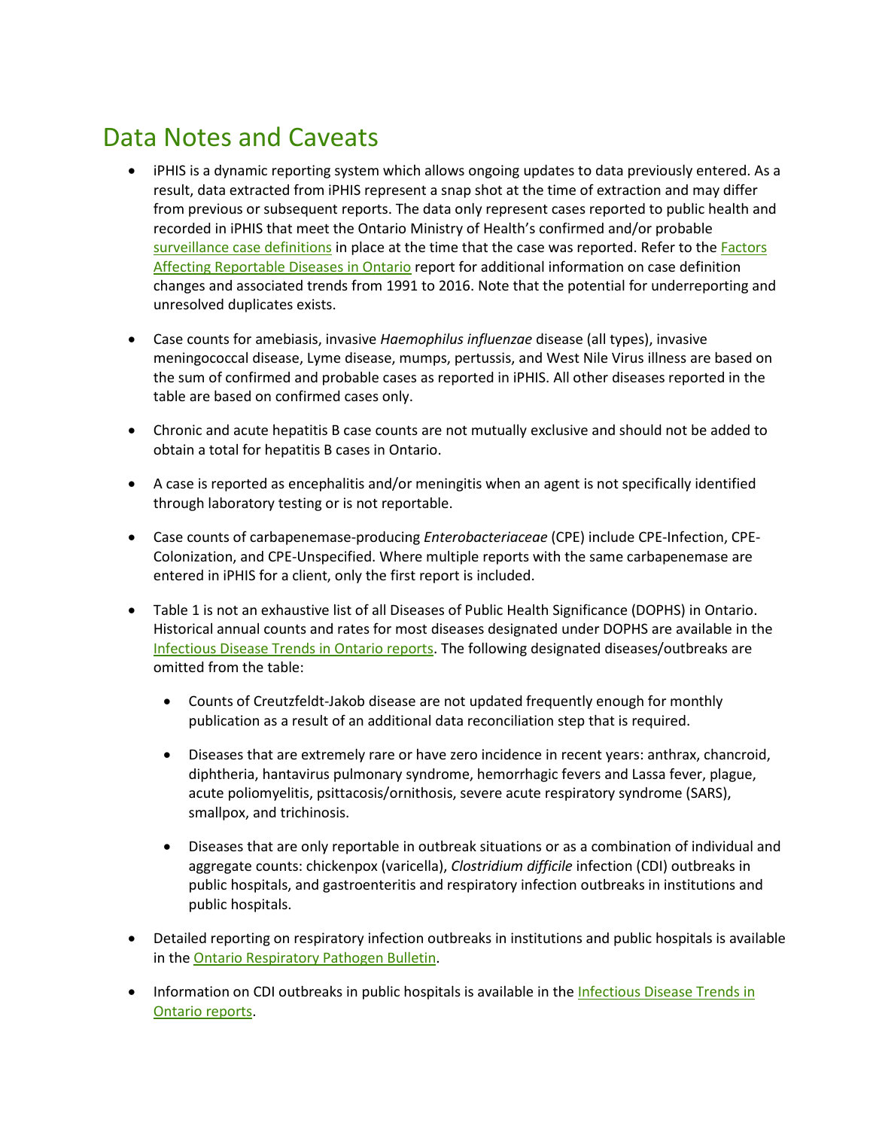## Data Notes and Caveats

- iPHIS is a dynamic reporting system which allows ongoing updates to data previously entered. As a result, data extracted from iPHIS represent a snap shot at the time of extraction and may differ from previous or subsequent reports. The data only represent cases reported to public health and recorded in iPHIS that meet the Ontario Ministry of Health's confirmed and/or probable [surveillance case definitions](http://www.health.gov.on.ca/en/pro/programs/publichealth/oph_standards/infdispro.aspx) in place at the time that the case was reported. Refer to the Factors [Affecting Reportable Diseases in Ontario](https://www.publichealthontario.ca/-/media/documents/factors-reportable-diseases-ontario-1991-2016.pdf?la=en) report for additional information on case definition changes and associated trends from 1991 to 2016. Note that the potential for underreporting and unresolved duplicates exists.
- Case counts for amebiasis, invasive *Haemophilus influenzae* disease (all types), invasive meningococcal disease, Lyme disease, mumps, pertussis, and West Nile Virus illness are based on the sum of confirmed and probable cases as reported in iPHIS. All other diseases reported in the table are based on confirmed cases only.
- Chronic and acute hepatitis B case counts are not mutually exclusive and should not be added to obtain a total for hepatitis B cases in Ontario.
- A case is reported as encephalitis and/or meningitis when an agent is not specifically identified through laboratory testing or is not reportable.
- Case counts of carbapenemase-producing *Enterobacteriaceae* (CPE) include CPE-Infection, CPE-Colonization, and CPE-Unspecified. Where multiple reports with the same carbapenemase are entered in iPHIS for a client, only the first report is included.
- Table 1 is not an exhaustive list of all Diseases of Public Health Significance (DOPHS) in Ontario. Historical annual counts and rates for most diseases designated under DOPHS are available in the Infectious [Disease Trends in Ontario reports.](https://www.publichealthontario.ca/en/data-and-analysis/infectious-disease/reportable-disease-trends-annually) The following designated diseases/outbreaks are omitted from the table:
	- Counts of Creutzfeldt-Jakob disease are not updated frequently enough for monthly publication as a result of an additional data reconciliation step that is required.
	- Diseases that are extremely rare or have zero incidence in recent years: anthrax, chancroid, diphtheria, hantavirus pulmonary syndrome, hemorrhagic fevers and Lassa fever, plague, acute poliomyelitis, psittacosis/ornithosis, severe acute respiratory syndrome (SARS), smallpox, and trichinosis.
	- Diseases that are only reportable in outbreak situations or as a combination of individual and aggregate counts: chickenpox (varicella), *Clostridium difficile* infection (CDI) outbreaks in public hospitals, and gastroenteritis and respiratory infection outbreaks in institutions and public hospitals.
- Detailed reporting on respiratory infection outbreaks in institutions and public hospitals is available in the [Ontario Respiratory Pathogen Bulletin.](https://www.publichealthontario.ca/en/data-and-analysis/infectious-disease/respiratory-pathogens-weekly)
- Information on CDI outbreaks in public hospitals is available in the Infectious Disease Trends in [Ontario reports.](https://www.publichealthontario.ca/en/data-and-analysis/infectious-disease/reportable-disease-trends-annually)